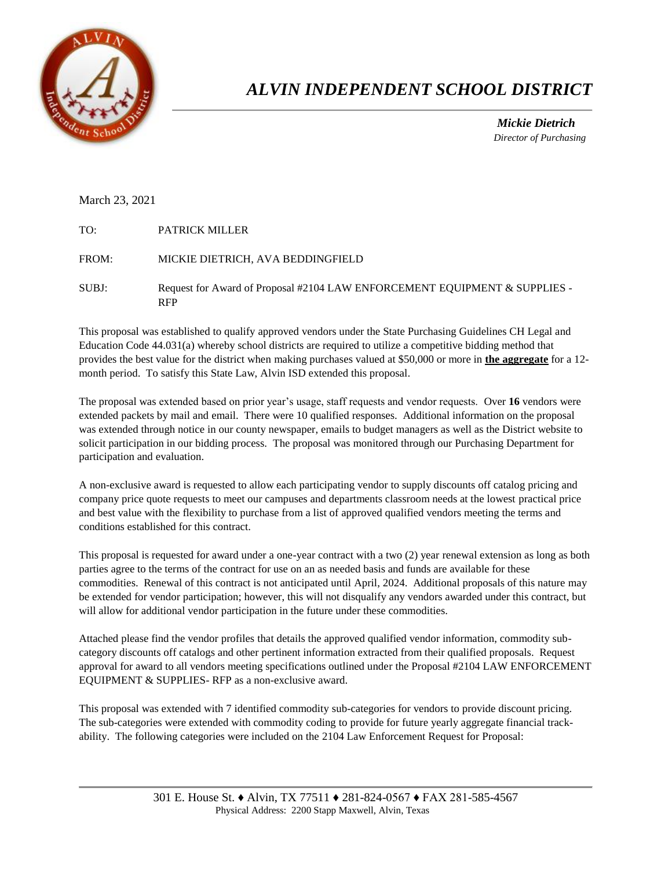

## *ALVIN INDEPENDENT SCHOOL DISTRICT*

 *Mickie Dietrich Director of Purchasing*

## March 23, 2021

| TO:   | <b>PATRICK MILLER</b>                                                                    |
|-------|------------------------------------------------------------------------------------------|
| FROM: | MICKIE DIETRICH, AVA BEDDINGFIELD                                                        |
| SUBJ: | Request for Award of Proposal #2104 LAW ENFORCEMENT EQUIPMENT & SUPPLIES -<br><b>RFP</b> |

This proposal was established to qualify approved vendors under the State Purchasing Guidelines CH Legal and Education Code 44.031(a) whereby school districts are required to utilize a competitive bidding method that provides the best value for the district when making purchases valued at \$50,000 or more in **the aggregate** for a 12 month period. To satisfy this State Law, Alvin ISD extended this proposal.

The proposal was extended based on prior year's usage, staff requests and vendor requests. Over **16** vendors were extended packets by mail and email. There were 10 qualified responses. Additional information on the proposal was extended through notice in our county newspaper, emails to budget managers as well as the District website to solicit participation in our bidding process. The proposal was monitored through our Purchasing Department for participation and evaluation.

A non-exclusive award is requested to allow each participating vendor to supply discounts off catalog pricing and company price quote requests to meet our campuses and departments classroom needs at the lowest practical price and best value with the flexibility to purchase from a list of approved qualified vendors meeting the terms and conditions established for this contract.

This proposal is requested for award under a one-year contract with a two (2) year renewal extension as long as both parties agree to the terms of the contract for use on an as needed basis and funds are available for these commodities. Renewal of this contract is not anticipated until April, 2024. Additional proposals of this nature may be extended for vendor participation; however, this will not disqualify any vendors awarded under this contract, but will allow for additional vendor participation in the future under these commodities.

Attached please find the vendor profiles that details the approved qualified vendor information, commodity subcategory discounts off catalogs and other pertinent information extracted from their qualified proposals. Request approval for award to all vendors meeting specifications outlined under the Proposal #2104 LAW ENFORCEMENT EQUIPMENT & SUPPLIES- RFP as a non-exclusive award.

This proposal was extended with 7 identified commodity sub-categories for vendors to provide discount pricing. The sub-categories were extended with commodity coding to provide for future yearly aggregate financial trackability. The following categories were included on the 2104 Law Enforcement Request for Proposal: